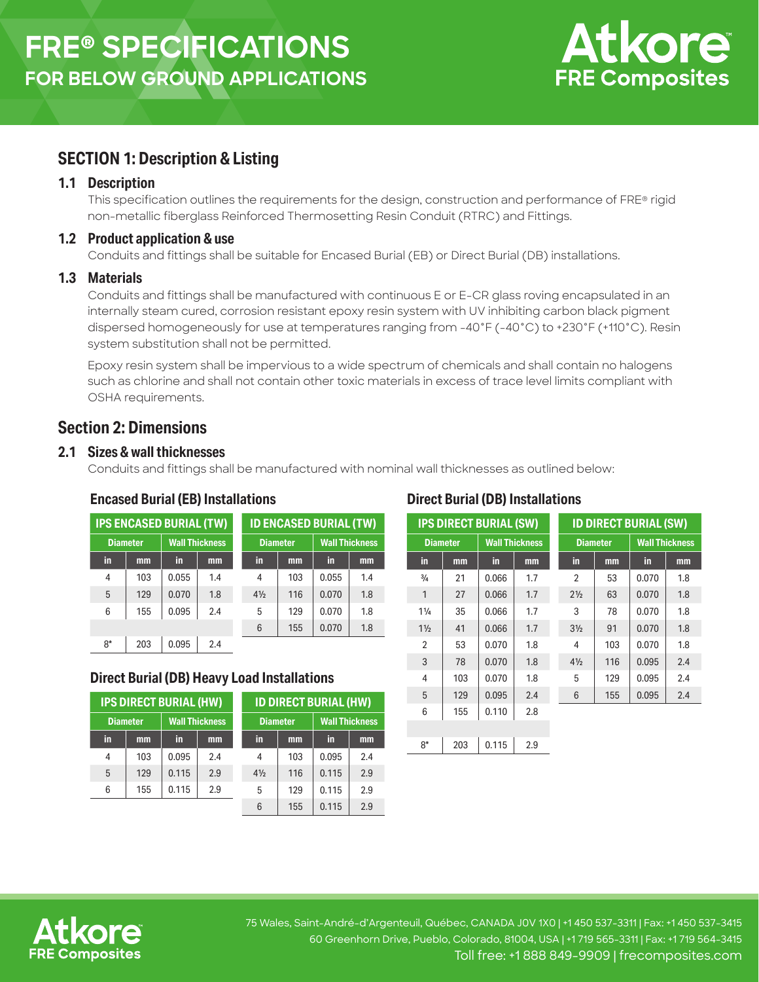

# **SECTION 1: Description & Listing**

#### **1.1 Description**

This specification outlines the requirements for the design, construction and performance of FRE® rigid non-metallic fiberglass Reinforced Thermosetting Resin Conduit (RTRC) and Fittings.

#### **1.2 Product application & use**

Conduits and fittings shall be suitable for Encased Burial (EB) or Direct Burial (DB) installations.

#### **1.3 Materials**

Conduits and fittings shall be manufactured with continuous E or E-CR glass roving encapsulated in an internally steam cured, corrosion resistant epoxy resin system with UV inhibiting carbon black pigment dispersed homogeneously for use at temperatures ranging from -40°F (-40°C) to +230°F (+110°C). Resin system substitution shall not be permitted.

Epoxy resin system shall be impervious to a wide spectrum of chemicals and shall contain no halogens such as chlorine and shall not contain other toxic materials in excess of trace level limits compliant with OSHA requirements.

# **Section 2: Dimensions**

## **2.1 Sizes & wall thicknesses**

Conduits and fittings shall be manufactured with nominal wall thicknesses as outlined below:

## **Encased Burial (EB) Installations**

| <b>IPS ENCASED BURIAL (TW)</b> |     |                       | <b>ID ENCASED BURIAL (TW)</b> |                |                 |       |                       |  |
|--------------------------------|-----|-----------------------|-------------------------------|----------------|-----------------|-------|-----------------------|--|
| <b>Diameter</b>                |     | <b>Wall Thickness</b> |                               |                | <b>Diameter</b> |       | <b>Wall Thickness</b> |  |
| in                             | mm  | in.                   | mm                            | in             | mm              | in    | mm                    |  |
| 4                              | 103 | 0.055                 | 1.4                           | 4              | 103             | 0.055 | 1.4                   |  |
| 5                              | 129 | 0.070                 | 1.8                           | $4\frac{1}{2}$ | 116             | 0.070 | 1.8                   |  |
| 6                              | 155 | 0.095                 | 2.4                           | 5              | 129             | 0.070 | 1.8                   |  |
|                                |     |                       |                               | 6              | 155             | 0.070 | 1.8                   |  |
| $8*$                           | 203 | 0.095                 | 2.4                           |                |                 |       |                       |  |

## **Direct Burial (DB) Heavy Load Installations**

| <b>IPS DIRECT BURIAL (HW)</b> |     |                       |     | <b>ID DIRECT BURIAL (HW)</b> |     |                       |     |
|-------------------------------|-----|-----------------------|-----|------------------------------|-----|-----------------------|-----|
| <b>Diameter</b>               |     | <b>Wall Thickness</b> |     | <b>Diameter</b>              |     | <b>Wall Thickness</b> |     |
| in                            | mm  | in                    | mm  | in                           | mm  | in                    | mm  |
| 4                             | 103 | 0.095                 | 2.4 | 4                            | 103 | 0.095                 | 2.4 |
| 5                             | 129 | 0.115                 | 2.9 | $4\frac{1}{2}$               | 116 | 0.115                 | 2.9 |
| 6                             | 155 | 0.115                 | 2.9 | 5                            | 129 | 0.115                 | 2.9 |
|                               |     |                       |     | 6                            | 155 | 0.115                 | 2.9 |

## **Direct Burial (DB) Installations**

| <b>IPS DIRECT BURIAL (SW)</b> |     |                       | <b>ID DIRECT BURIAL (SW)</b> |                 |     |                       |     |
|-------------------------------|-----|-----------------------|------------------------------|-----------------|-----|-----------------------|-----|
| <b>Diameter</b>               |     | <b>Wall Thickness</b> |                              | <b>Diameter</b> |     | <b>Wall Thickness</b> |     |
| in                            | mm  | in                    | mm                           | in              | mm  | in                    | mm  |
| $\frac{3}{4}$                 | 21  | 0.066                 | 1.7                          | $\overline{2}$  | 53  | 0.070                 | 1.8 |
| $\mathbf{1}$                  | 27  | 0.066                 | 1.7                          | $2\frac{1}{2}$  | 63  | 0.070                 | 1.8 |
| $1\frac{1}{4}$                | 35  | 0.066                 | 1.7                          | 3               | 78  | 0.070                 | 1.8 |
| $1\frac{1}{2}$                | 41  | 0.066                 | 1.7                          | $3\frac{1}{2}$  | 91  | 0.070                 | 1.8 |
| $\overline{2}$                | 53  | 0.070                 | 1.8                          | 4               | 103 | 0.070                 | 1.8 |
| 3                             | 78  | 0.070                 | 1.8                          | $4\frac{1}{2}$  | 116 | 0.095                 | 2.4 |
| 4                             | 103 | 0.070                 | 1.8                          | 5               | 129 | 0.095                 | 2.4 |
| 5                             | 129 | 0.095                 | 2.4                          | 6               | 155 | 0.095                 | 2.4 |
| 6                             | 155 | 0.110                 | 2.8                          |                 |     |                       |     |
|                               |     |                       |                              |                 |     |                       |     |
| $8*$                          | 203 | 0.115                 | 2.9                          |                 |     |                       |     |



75 Wales, Saint-André-d'Argenteuil, Québec, CANADA J0V 1X0 | +1 450 537-3311 | Fax: +1 450 537-3415 60 Greenhorn Drive, Pueblo, Colorado, 81004, USA | +1 719 565-3311 | Fax: +1 719 564-3415 Toll free: +1 888 849-9909 | frecomposites.com